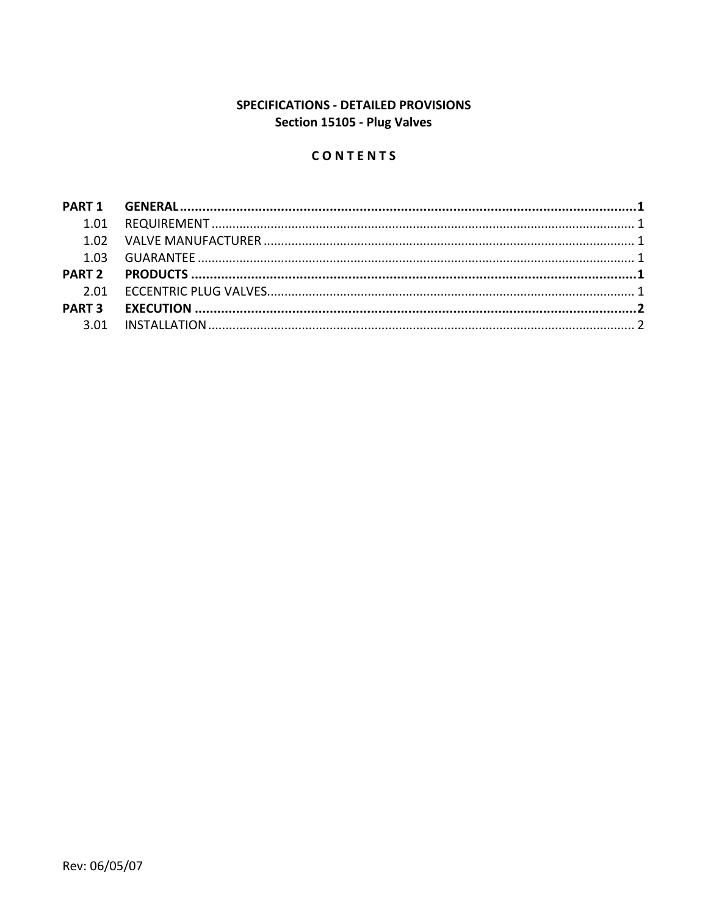# SPECIFICATIONS - DETAILED PROVISIONS Section 15105 - Plug Valves

## CONTENTS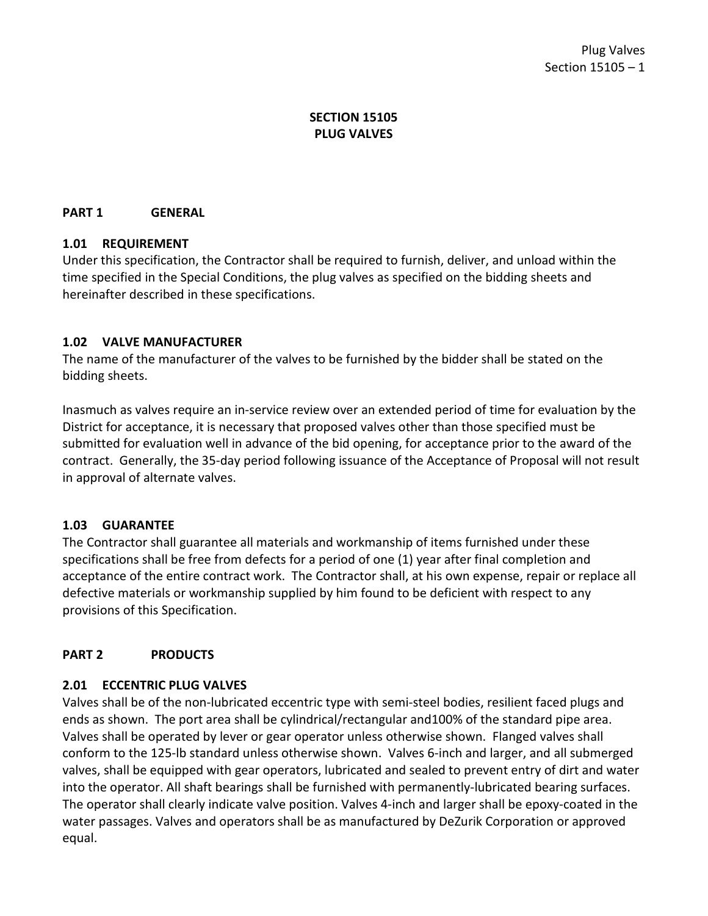## **SECTION 15105 PLUG VALVES**

#### <span id="page-2-1"></span><span id="page-2-0"></span>**PART 1 GENERAL**

#### **1.01 REQUIREMENT**

Under this specification, the Contractor shall be required to furnish, deliver, and unload within the time specified in the Special Conditions, the plug valves as specified on the bidding sheets and hereinafter described in these specifications.

#### <span id="page-2-2"></span>**1.02 VALVE MANUFACTURER**

The name of the manufacturer of the valves to be furnished by the bidder shall be stated on the bidding sheets.

Inasmuch as valves require an in-service review over an extended period of time for evaluation by the District for acceptance, it is necessary that proposed valves other than those specified must be submitted for evaluation well in advance of the bid opening, for acceptance prior to the award of the contract. Generally, the 35-day period following issuance of the Acceptance of Proposal will not result in approval of alternate valves.

## <span id="page-2-3"></span>**1.03 GUARANTEE**

The Contractor shall guarantee all materials and workmanship of items furnished under these specifications shall be free from defects for a period of one (1) year after final completion and acceptance of the entire contract work. The Contractor shall, at his own expense, repair or replace all defective materials or workmanship supplied by him found to be deficient with respect to any provisions of this Specification.

## <span id="page-2-5"></span><span id="page-2-4"></span>**PART 2 PRODUCTS**

## **2.01 ECCENTRIC PLUG VALVES**

Valves shall be of the non-lubricated eccentric type with semi-steel bodies, resilient faced plugs and ends as shown. The port area shall be cylindrical/rectangular and100% of the standard pipe area. Valves shall be operated by lever or gear operator unless otherwise shown. Flanged valves shall conform to the 125-lb standard unless otherwise shown. Valves 6-inch and larger, and all submerged valves, shall be equipped with gear operators, lubricated and sealed to prevent entry of dirt and water into the operator. All shaft bearings shall be furnished with permanently-lubricated bearing surfaces. The operator shall clearly indicate valve position. Valves 4-inch and larger shall be epoxy-coated in the water passages. Valves and operators shall be as manufactured by DeZurik Corporation or approved equal.